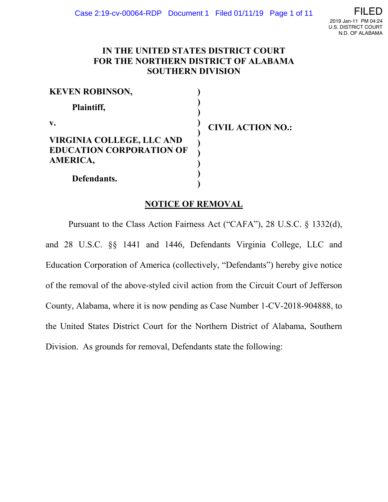# **IN THE UNITED STATES DISTRICT COURT FOR THE NORTHERN DISTRICT OF ALABAMA SOUTHERN DIVISION**

| <b>KEVEN ROBINSON,</b>           |                          |
|----------------------------------|--------------------------|
| Plaintiff,                       |                          |
| $\mathbf{v}$ .                   | <b>CIVIL ACTION NO.:</b> |
| <b>VIRGINIA COLLEGE, LLC AND</b> |                          |
| <b>EDUCATION CORPORATION OF</b>  |                          |
| <b>AMERICA,</b>                  |                          |
| Defendants.                      |                          |

# **NOTICE OF REMOVAL**

Pursuant to the Class Action Fairness Act ("CAFA"), 28 U.S.C. § 1332(d), and 28 U.S.C. §§ 1441 and 1446, Defendants Virginia College, LLC and Education Corporation of America (collectively, "Defendants") hereby give notice of the removal of the above-styled civil action from the Circuit Court of Jefferson County, Alabama, where it is now pending as Case Number 1-CV-2018-904888, to the United States District Court for the Northern District of Alabama, Southern Division. As grounds for removal, Defendants state the following: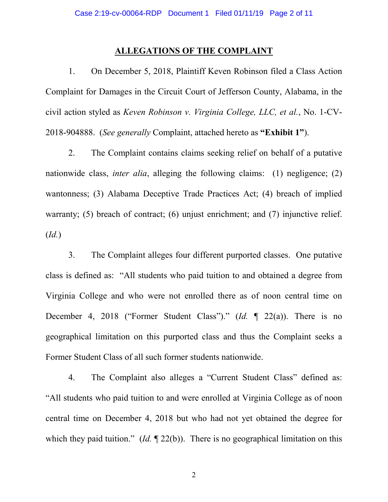## **ALLEGATIONS OF THE COMPLAINT**

1. On December 5, 2018, Plaintiff Keven Robinson filed a Class Action Complaint for Damages in the Circuit Court of Jefferson County, Alabama, in the civil action styled as *Keven Robinson v. Virginia College, LLC, et al.*, No. 1-CV-2018-904888. (*See generally* Complaint, attached hereto as **"Exhibit 1"**).

2. The Complaint contains claims seeking relief on behalf of a putative nationwide class, *inter alia*, alleging the following claims: (1) negligence; (2) wantonness; (3) Alabama Deceptive Trade Practices Act; (4) breach of implied warranty; (5) breach of contract; (6) unjust enrichment; and (7) injunctive relief. (*Id.*)

3. The Complaint alleges four different purported classes. One putative class is defined as: "All students who paid tuition to and obtained a degree from Virginia College and who were not enrolled there as of noon central time on December 4, 2018 ("Former Student Class")." (*Id.* ¶ 22(a)). There is no geographical limitation on this purported class and thus the Complaint seeks a Former Student Class of all such former students nationwide.

4. The Complaint also alleges a "Current Student Class" defined as: "All students who paid tuition to and were enrolled at Virginia College as of noon central time on December 4, 2018 but who had not yet obtained the degree for which they paid tuition." (*Id.*  $\P$  22(b)). There is no geographical limitation on this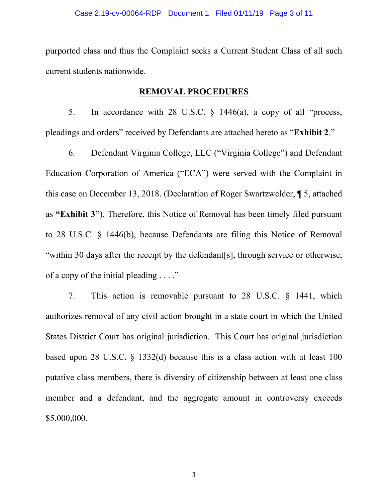purported class and thus the Complaint seeks a Current Student Class of all such current students nationwide.

## **REMOVAL PROCEDURES**

5. In accordance with 28 U.S.C. § 1446(a), a copy of all "process, pleadings and orders" received by Defendants are attached hereto as "**Exhibit 2**."

6. Defendant Virginia College, LLC ("Virginia College") and Defendant Education Corporation of America ("ECA") were served with the Complaint in this case on December 13, 2018. (Declaration of Roger Swartzwelder, ¶ 5, attached as **"Exhibit 3"**). Therefore, this Notice of Removal has been timely filed pursuant to 28 U.S.C. § 1446(b), because Defendants are filing this Notice of Removal "within 30 days after the receipt by the defendant[s], through service or otherwise, of a copy of the initial pleading . . . ."

7. This action is removable pursuant to 28 U.S.C. § 1441, which authorizes removal of any civil action brought in a state court in which the United States District Court has original jurisdiction. This Court has original jurisdiction based upon 28 U.S.C. § 1332(d) because this is a class action with at least 100 putative class members, there is diversity of citizenship between at least one class member and a defendant, and the aggregate amount in controversy exceeds \$5,000,000.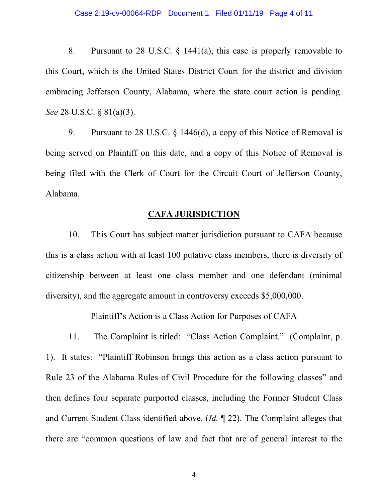8. Pursuant to 28 U.S.C. § 1441(a), this case is properly removable to this Court, which is the United States District Court for the district and division embracing Jefferson County, Alabama, where the state court action is pending. *See* 28 U.S.C. § 81(a)(3).

9. Pursuant to 28 U.S.C. § 1446(d), a copy of this Notice of Removal is being served on Plaintiff on this date, and a copy of this Notice of Removal is being filed with the Clerk of Court for the Circuit Court of Jefferson County, Alabama.

## **CAFA JURISDICTION**

10. This Court has subject matter jurisdiction pursuant to CAFA because this is a class action with at least 100 putative class members, there is diversity of citizenship between at least one class member and one defendant (minimal diversity), and the aggregate amount in controversy exceeds \$5,000,000.

## Plaintiff's Action is a Class Action for Purposes of CAFA

11. The Complaint is titled: "Class Action Complaint." (Complaint, p. 1). It states: "Plaintiff Robinson brings this action as a class action pursuant to Rule 23 of the Alabama Rules of Civil Procedure for the following classes" and then defines four separate purported classes, including the Former Student Class and Current Student Class identified above. (*Id.* ¶ 22). The Complaint alleges that there are "common questions of law and fact that are of general interest to the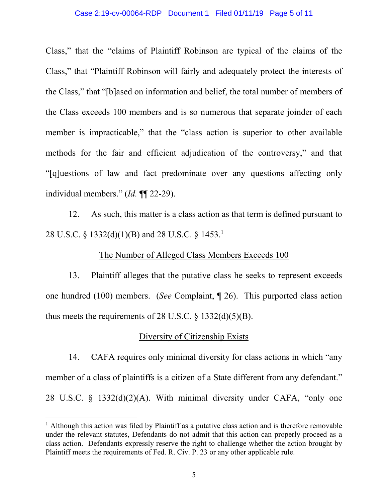#### Case 2:19-cv-00064-RDP Document 1 Filed 01/11/19 Page 5 of 11

Class," that the "claims of Plaintiff Robinson are typical of the claims of the Class," that "Plaintiff Robinson will fairly and adequately protect the interests of the Class," that "[b]ased on information and belief, the total number of members of the Class exceeds 100 members and is so numerous that separate joinder of each member is impracticable," that the "class action is superior to other available methods for the fair and efficient adjudication of the controversy," and that "[q]uestions of law and fact predominate over any questions affecting only individual members." (*Id.* ¶¶ 22-29).

12. As such, this matter is a class action as that term is defined pursuant to 28 U.S.C. § 1332(d)(1)(B) and 28 U.S.C. § 1453.1

#### The Number of Alleged Class Members Exceeds 100

13. Plaintiff alleges that the putative class he seeks to represent exceeds one hundred (100) members. (*See* Complaint, ¶ 26). This purported class action thus meets the requirements of 28 U.S.C.  $\S$  1332(d)(5)(B).

## Diversity of Citizenship Exists

14. CAFA requires only minimal diversity for class actions in which "any member of a class of plaintiffs is a citizen of a State different from any defendant." 28 U.S.C. § 1332(d)(2)(A). With minimal diversity under CAFA, "only one

<sup>&</sup>lt;sup>1</sup> Although this action was filed by Plaintiff as a putative class action and is therefore removable under the relevant statutes, Defendants do not admit that this action can properly proceed as a class action. Defendants expressly reserve the right to challenge whether the action brought by Plaintiff meets the requirements of Fed. R. Civ. P. 23 or any other applicable rule.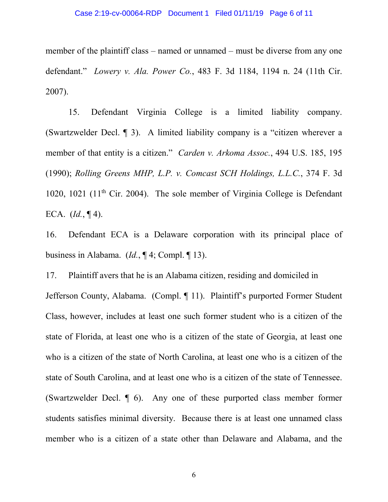## Case 2:19-cv-00064-RDP Document 1 Filed 01/11/19 Page 6 of 11

member of the plaintiff class – named or unnamed – must be diverse from any one defendant." *Lowery v. Ala. Power Co.*, 483 F. 3d 1184, 1194 n. 24 (11th Cir. 2007).

15. Defendant Virginia College is a limited liability company. (Swartzwelder Decl. ¶ 3). A limited liability company is a "citizen wherever a member of that entity is a citizen." *Carden v. Arkoma Assoc.*, 494 U.S. 185, 195 (1990); *Rolling Greens MHP, L.P. v. Comcast SCH Holdings, L.L.C.*, 374 F. 3d 1020, 1021 (11<sup>th</sup> Cir. 2004). The sole member of Virginia College is Defendant ECA. (*Id.*, ¶ 4).

16. Defendant ECA is a Delaware corporation with its principal place of business in Alabama. (*Id.*, ¶ 4; Compl. ¶ 13).

17. Plaintiff avers that he is an Alabama citizen, residing and domiciled in Jefferson County, Alabama. (Compl. ¶ 11). Plaintiff's purported Former Student Class, however, includes at least one such former student who is a citizen of the state of Florida, at least one who is a citizen of the state of Georgia, at least one who is a citizen of the state of North Carolina, at least one who is a citizen of the state of South Carolina, and at least one who is a citizen of the state of Tennessee. (Swartzwelder Decl. ¶ 6). Any one of these purported class member former students satisfies minimal diversity. Because there is at least one unnamed class member who is a citizen of a state other than Delaware and Alabama, and the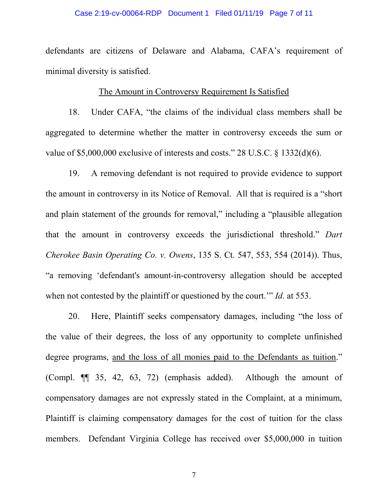## Case 2:19-cv-00064-RDP Document 1 Filed 01/11/19 Page 7 of 11

defendants are citizens of Delaware and Alabama, CAFA's requirement of minimal diversity is satisfied.

#### The Amount in Controversy Requirement Is Satisfied

18. Under CAFA, "the claims of the individual class members shall be aggregated to determine whether the matter in controversy exceeds the sum or value of \$5,000,000 exclusive of interests and costs." 28 U.S.C. § 1332(d)(6).

19. A removing defendant is not required to provide evidence to support the amount in controversy in its Notice of Removal. All that is required is a "short and plain statement of the grounds for removal," including a "plausible allegation that the amount in controversy exceeds the jurisdictional threshold." *Dart Cherokee Basin Operating Co. v. Owens*, 135 S. Ct. 547, 553, 554 (2014)). Thus, "a removing 'defendant's amount-in-controversy allegation should be accepted when not contested by the plaintiff or questioned by the court.'" *Id.* at 553.

20. Here, Plaintiff seeks compensatory damages, including "the loss of the value of their degrees, the loss of any opportunity to complete unfinished degree programs, and the loss of all monies paid to the Defendants as tuition." (Compl. ¶¶ 35, 42, 63, 72) (emphasis added). Although the amount of compensatory damages are not expressly stated in the Complaint, at a minimum, Plaintiff is claiming compensatory damages for the cost of tuition for the class members. Defendant Virginia College has received over \$5,000,000 in tuition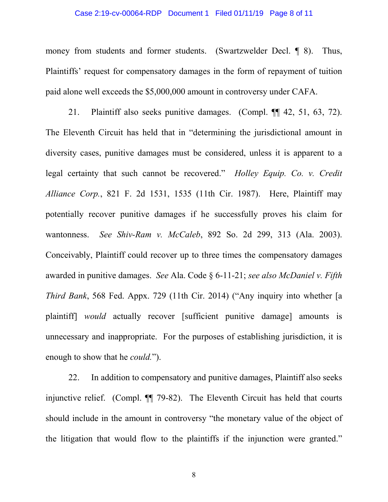## Case 2:19-cv-00064-RDP Document 1 Filed 01/11/19 Page 8 of 11

money from students and former students. (Swartzwelder Decl. 1 8). Thus, Plaintiffs' request for compensatory damages in the form of repayment of tuition paid alone well exceeds the \$5,000,000 amount in controversy under CAFA.

21. Plaintiff also seeks punitive damages. (Compl. ¶¶ 42, 51, 63, 72). The Eleventh Circuit has held that in "determining the jurisdictional amount in diversity cases, punitive damages must be considered, unless it is apparent to a legal certainty that such cannot be recovered." *Holley Equip. Co. v. Credit Alliance Corp.*, 821 F. 2d 1531, 1535 (11th Cir. 1987). Here, Plaintiff may potentially recover punitive damages if he successfully proves his claim for wantonness. *See Shiv-Ram v. McCaleb*, 892 So. 2d 299, 313 (Ala. 2003). Conceivably, Plaintiff could recover up to three times the compensatory damages awarded in punitive damages. *See* Ala. Code § 6-11-21; *see also McDaniel v. Fifth Third Bank*, 568 Fed. Appx. 729 (11th Cir. 2014) ("Any inquiry into whether [a plaintiff] *would* actually recover [sufficient punitive damage] amounts is unnecessary and inappropriate. For the purposes of establishing jurisdiction, it is enough to show that he *could.*").

22. In addition to compensatory and punitive damages, Plaintiff also seeks injunctive relief. (Compl. ¶¶ 79-82). The Eleventh Circuit has held that courts should include in the amount in controversy "the monetary value of the object of the litigation that would flow to the plaintiffs if the injunction were granted."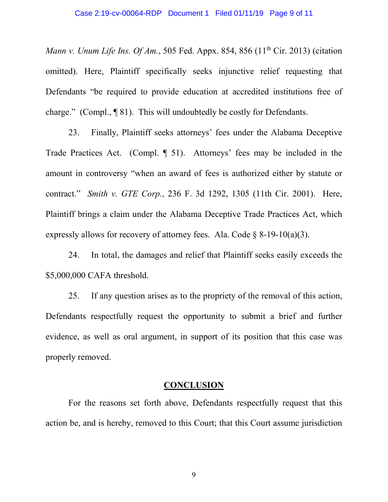## Case 2:19-cv-00064-RDP Document 1 Filed 01/11/19 Page 9 of 11

*Mann v. Unum Life Ins. Of Am.*, 505 Fed. Appx. 854, 856 (11<sup>th</sup> Cir. 2013) (citation omitted). Here, Plaintiff specifically seeks injunctive relief requesting that Defendants "be required to provide education at accredited institutions free of charge." (Compl., ¶ 81). This will undoubtedly be costly for Defendants.

23. Finally, Plaintiff seeks attorneys' fees under the Alabama Deceptive Trade Practices Act. (Compl. ¶ 51). Attorneys' fees may be included in the amount in controversy "when an award of fees is authorized either by statute or contract." *Smith v. GTE Corp.*, 236 F. 3d 1292, 1305 (11th Cir. 2001). Here, Plaintiff brings a claim under the Alabama Deceptive Trade Practices Act, which expressly allows for recovery of attorney fees. Ala. Code  $\S$  8-19-10(a)(3).

24. In total, the damages and relief that Plaintiff seeks easily exceeds the \$5,000,000 CAFA threshold.

25. If any question arises as to the propriety of the removal of this action, Defendants respectfully request the opportunity to submit a brief and further evidence, as well as oral argument, in support of its position that this case was properly removed.

#### **CONCLUSION**

For the reasons set forth above, Defendants respectfully request that this action be, and is hereby, removed to this Court; that this Court assume jurisdiction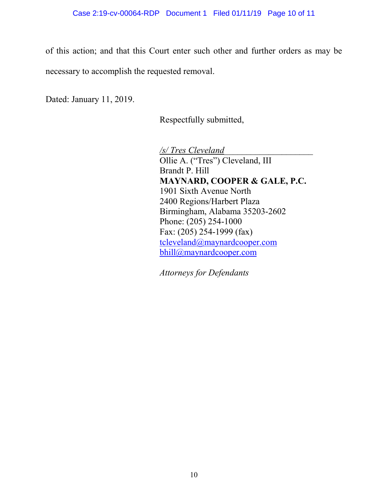of this action; and that this Court enter such other and further orders as may be necessary to accomplish the requested removal.

Dated: January 11, 2019.

Respectfully submitted,

*/s/ Tres Cleveland\_\_\_\_\_\_\_\_\_\_\_\_\_\_\_\_\_\_\_\_*  Ollie A. ("Tres") Cleveland, III Brandt P. Hill **MAYNARD, COOPER & GALE, P.C.** 1901 Sixth Avenue North 2400 Regions/Harbert Plaza Birmingham, Alabama 35203-2602 Phone: (205) 254-1000 Fax: (205) 254-1999 (fax) tcleveland@maynardcooper.com bhill@maynardcooper.com

*Attorneys for Defendants*